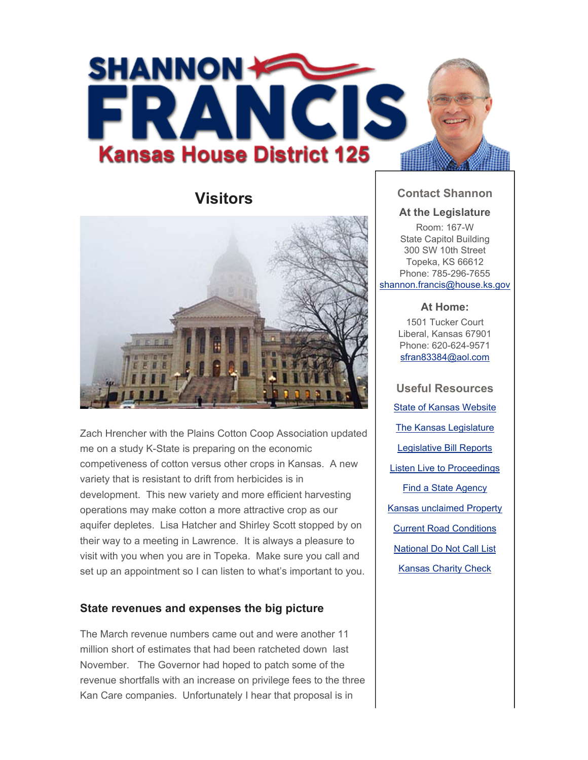

# **Visitors**



Zach Hrencher with the Plains Cotton Coop Association updated me on a study K-State is preparing on the economic competiveness of cotton versus other crops in Kansas. A new variety that is resistant to drift from herbicides is in development. This new variety and more efficient harvesting operations may make cotton a more attractive crop as our aquifer depletes. Lisa Hatcher and Shirley Scott stopped by on their way to a meeting in Lawrence. It is always a pleasure to visit with you when you are in Topeka. Make sure you call and set up an appointment so I can listen to what's important to you.

## **State revenues and expenses the big picture**

The March revenue numbers came out and were another 11 million short of estimates that had been ratcheted down last November. The Governor had hoped to patch some of the revenue shortfalls with an increase on privilege fees to the three Kan Care companies. Unfortunately I hear that proposal is in

## **Contact Shannon**

#### **At the Legislature**

Room: 167-W State Capitol Building 300 SW 10th Street Topeka, KS 66612 Phone: 785-296-7655 shannon.francis@house.ks.gov

#### **At Home:**

1501 Tucker Court Liberal, Kansas 67901 Phone: 620-624-9571 sfran83384@aol.com

**Useful Resources** State of Kansas Website The Kansas Legislature Legislative Bill Reports Listen Live to Proceedings Find a State Agency Kansas unclaimed Property Current Road Conditions National Do Not Call List Kansas Charity Check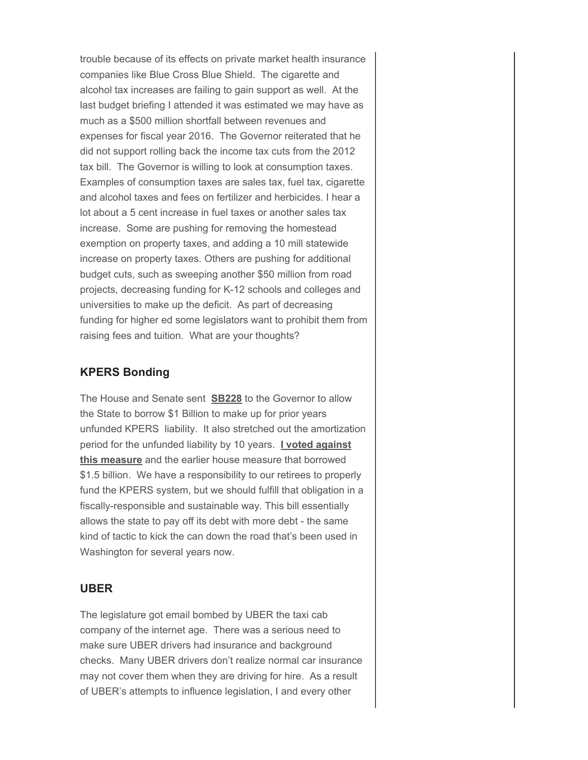trouble because of its effects on private market health insurance companies like Blue Cross Blue Shield. The cigarette and alcohol tax increases are failing to gain support as well. At the last budget briefing I attended it was estimated we may have as much as a \$500 million shortfall between revenues and expenses for fiscal year 2016. The Governor reiterated that he did not support rolling back the income tax cuts from the 2012 tax bill. The Governor is willing to look at consumption taxes. Examples of consumption taxes are sales tax, fuel tax, cigarette and alcohol taxes and fees on fertilizer and herbicides. I hear a lot about a 5 cent increase in fuel taxes or another sales tax increase. Some are pushing for removing the homestead exemption on property taxes, and adding a 10 mill statewide increase on property taxes. Others are pushing for additional budget cuts, such as sweeping another \$50 million from road projects, decreasing funding for K-12 schools and colleges and universities to make up the deficit. As part of decreasing funding for higher ed some legislators want to prohibit them from raising fees and tuition. What are your thoughts?

## **KPERS Bonding**

The House and Senate sent **SB228** to the Governor to allow the State to borrow \$1 Billion to make up for prior years unfunded KPERS liability. It also stretched out the amortization period for the unfunded liability by 10 years. **I voted against this measure** and the earlier house measure that borrowed \$1.5 billion. We have a responsibility to our retirees to properly fund the KPERS system, but we should fulfill that obligation in a fiscally-responsible and sustainable way. This bill essentially allows the state to pay off its debt with more debt - the same kind of tactic to kick the can down the road that's been used in Washington for several years now.

### **UBER**

The legislature got email bombed by UBER the taxi cab company of the internet age. There was a serious need to make sure UBER drivers had insurance and background checks. Many UBER drivers don't realize normal car insurance may not cover them when they are driving for hire. As a result of UBER's attempts to influence legislation, I and every other